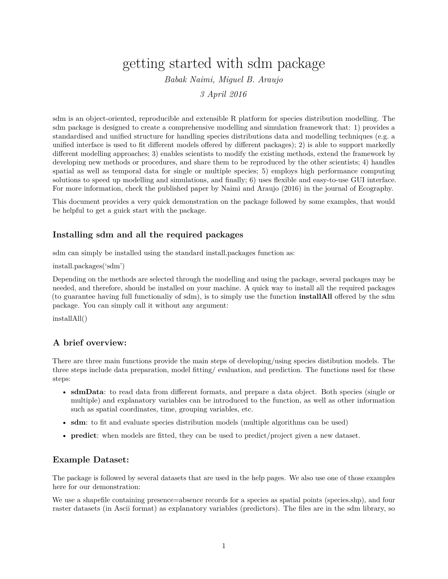# getting started with sdm package

*Babak Naimi, Miguel B. Araujo*

*3 April 2016*

sdm is an object-oriented, reproducible and extensible R platform for species distribution modelling. The sdm package is designed to create a comprehensive modelling and simulation framework that: 1) provides a standardised and unified structure for handling species distributions data and modelling techniques (e.g. a unified interface is used to fit different models offered by different packages); 2) is able to support markedly different modelling approaches; 3) enables scientists to modify the existing methods, extend the framework by developing new methods or procedures, and share them to be reproduced by the other scientists; 4) handles spatial as well as temporal data for single or multiple species; 5) employs high performance computing solutions to speed up modelling and simulations, and finally; 6) uses flexible and easy-to-use GUI interface. For more information, check the published paper by Naimi and Araujo (2016) in the journal of Ecography.

This document provides a very quick demonstration on the package followed by some examples, that would be helpful to get a guick start with the package.

### **Installing sdm and all the required packages**

sdm can simply be installed using the standard install.packages function as:

#### install.packages('sdm')

Depending on the methods are selected through the modelling and using the package, several packages may be needed, and therefore, should be installed on your machine. A quick way to install all the required packages (to guarantee having full functionaliy of sdm), is to simply use the function **installAll** offered by the sdm package. You can simply call it without any argument:

installAll()

## **A brief overview:**

There are three main functions provide the main steps of developing/using species distibution models. The three steps include data preparation, model fitting/ evaluation, and prediction. The functions used for these steps:

- **sdmData**: to read data from different formats, and prepare a data object. Both species (single or multiple) and explanatory variables can be introduced to the function, as well as other information such as spatial coordinates, time, grouping variables, etc.
- **sdm**: to fit and evaluate species distribution models (multiple algorithms can be used)
- **predict**: when models are fitted, they can be used to predict/project given a new dataset.

#### **Example Dataset:**

The package is followed by several datasets that are used in the help pages. We also use one of those examples here for our demonstration:

We use a shapefile containing presence=absence records for a species as spatial points (species.shp), and four raster datasets (in Ascii format) as explanatory variables (predictors). The files are in the sdm library, so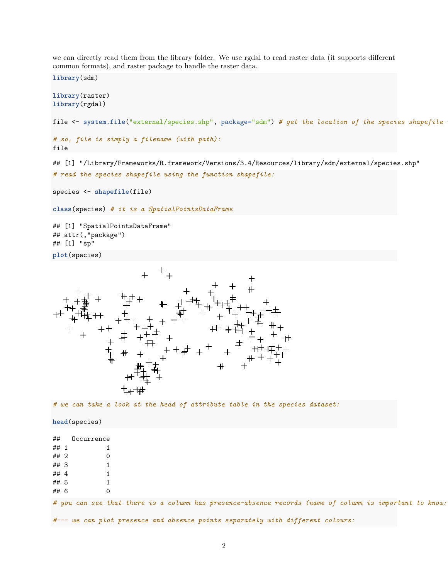we can directly read them from the library folder. We use rgdal to read raster data (it supports different common formats), and raster package to handle the raster data.

**library**(sdm)

```
library(raster)
library(rgdal)
```
file <- system.file("external/species.shp", package="sdm") # get the location of the species shapefile

```
# so, file is simply a filename (with path):
file
```
## [1] "/Library/Frameworks/R.framework/Versions/3.4/Resources/library/sdm/external/species.shp" *# read the species shapefile using the function shapefile:*

```
species <- shapefile(file)
```
**class**(species) *# it is a SpatialPointsDataFrame*

```
## [1] "SpatialPointsDataFrame"
## attr(,"package")
## [1] "sp"
plot(species)
```


*# we can take a look at the head of attribute table in the species dataset:*

**head**(species)

| ##   | Occurrence                                                                                              |  |  |  |  |  |  |  |
|------|---------------------------------------------------------------------------------------------------------|--|--|--|--|--|--|--|
| ## 1 |                                                                                                         |  |  |  |  |  |  |  |
| ##2  |                                                                                                         |  |  |  |  |  |  |  |
| ## 3 |                                                                                                         |  |  |  |  |  |  |  |
| ## 4 |                                                                                                         |  |  |  |  |  |  |  |
| ## 5 |                                                                                                         |  |  |  |  |  |  |  |
| ## 6 |                                                                                                         |  |  |  |  |  |  |  |
|      | # you can see that there is a column has presence-absence records (name of column is important to know: |  |  |  |  |  |  |  |
|      | #--- we can plot presence and absence points separately with different colours:                         |  |  |  |  |  |  |  |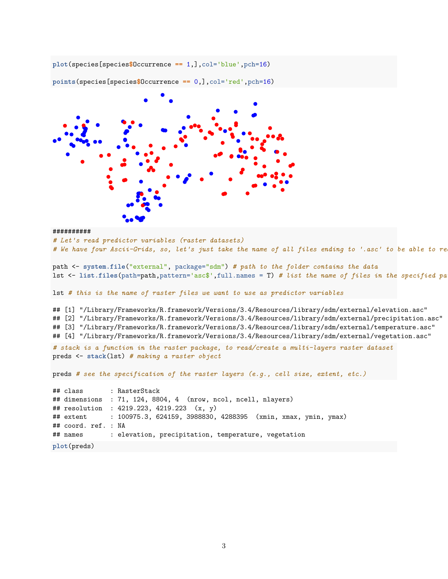**plot**(species[species**\$**Occurrence **==** 1,],col='blue',pch=16)



**points**(species[species**\$**Occurrence **==** 0,],col='red',pch=16)

```
##########
```
*# Let's read predictor variables (raster datasets)*

```
# We have four Ascii-Grids, so, let's just take the name of all files ending to '.asc' to be able to re
```
path <- **system.file**("external", package="sdm") *# path to the folder contains the data* lst <- **list.files**(path=path,pattern='asc\$',full.names = T) *# list the name of files in the specified path,*

lst *# this is the name of raster files we want to use as predictor variables*

```
## [1] "/Library/Frameworks/R.framework/Versions/3.4/Resources/library/sdm/external/elevation.asc"
## [2] "/Library/Frameworks/R.framework/Versions/3.4/Resources/library/sdm/external/precipitation.asc"
## [3] "/Library/Frameworks/R.framework/Versions/3.4/Resources/library/sdm/external/temperature.asc"
## [4] "/Library/Frameworks/R.framework/Versions/3.4/Resources/library/sdm/external/vegetation.asc"
# stack is a function in the raster package, to read/create a multi-layers raster dataset
preds <- stack(lst) # making a raster object
preds # see the specification of the raster layers (e.g., cell size, extent, etc.)
## class : RasterStack
## dimensions : 71, 124, 8804, 4 (nrow, ncol, ncell, nlayers)
## resolution : 4219.223, 4219.223 (x, y)
## extent : 100975.3, 624159, 3988830, 4288395 (xmin, xmax, ymin, ymax)
## coord. ref. : NA
```

```
## names : elevation, precipitation, temperature, vegetation
```
**plot**(preds)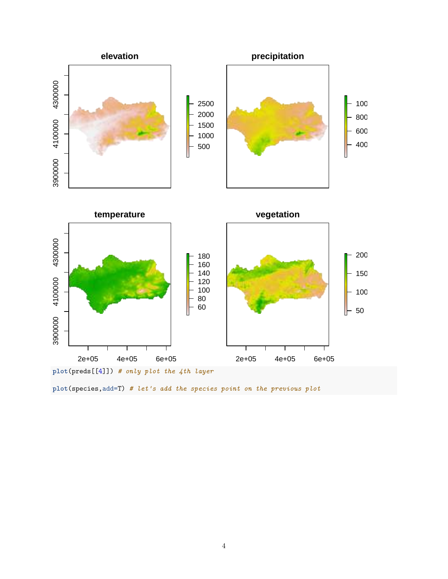

**plot**(species,add=T) *# let's add the species point on the previous plot*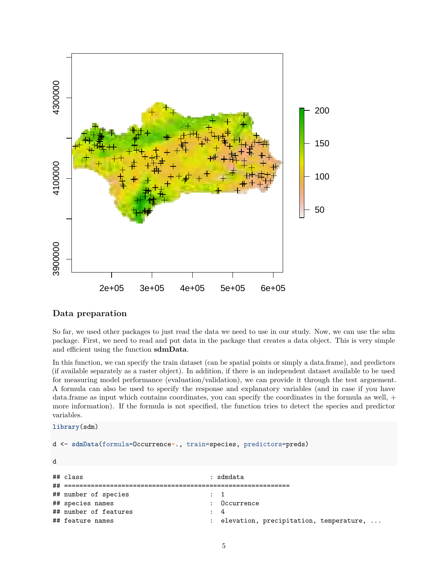

#### **Data preparation**

So far, we used other packages to just read the data we need to use in our study. Now, we can use the sdm package. First, we need to read and put data in the package that creates a data object. This is very simple and efficient using the function **sdmData**.

In this function, we can specify the train dataset (can be spatial points or simply a data.frame), and predictors (if available separately as a raster object). In addition, if there is an independent dataset available to be used for measuring model performance (evaluation/validation), we can provide it through the test arguement. A formula can also be used to specify the response and explanatory variables (and in case if you have data.frame as input which contains coordinates, you can specify the coordinates in the formula as well, + more information). If the formula is not specified, the function tries to detect the species and predictor variables.

```
library(sdm)
```

```
d <- sdmData(formula=Occurrence~., train=species, predictors=preds)
d
## class : sdmdata
## ===========================================================
## number of species : 1
```
## species names : Occurrence

## number of features : 4

```
## feature names \cdots : elevation, precipitation, temperature, ...
```

```
5
```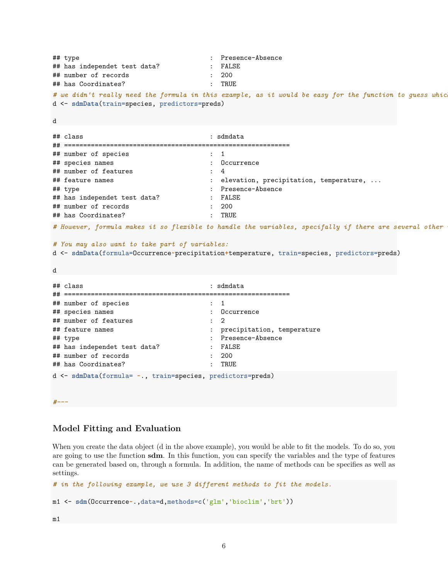## type : Presence-Absence ## has independet test data? : FALSE ## number of records : 200 ## has Coordinates? : TRUE *# we didn't really need the formula in this example, as it would be easy for the function to guess which* d <- **sdmData**(train=species, predictors=preds) d ## class : sdmdata ## =========================================================== ## number of species : 1 ## species names : Occurrence ## number of features : 4 ## feature names  $\cdots$  : elevation, precipitation, temperature, ... ## type : Presence-Absence ## has independet test data? : FALSE ## number of records : 200 ## has Coordinates? : TRUE *# However, formula makes it so flexible to handle the variables, specifally if there are several other information # You may also want to take part of variables:* d <- **sdmData**(formula=Occurrence**~**precipitation**+**temperature, train=species, predictors=preds) d ## class : sdmdata ## =========================================================== ## number of species : 1 ## species names : Occurrence ## number of features : 2 ## feature names : precipitation, temperature ## type : Presence-Absence ## has independet test data? : FALSE ## number of records : 200 ## has Coordinates? : TRUE d <- **sdmData**(formula= **~**., train=species, predictors=preds) *#---*

### **Model Fitting and Evaluation**

When you create the data object (d in the above example), you would be able to fit the models. To do so, you are going to use the function **sdm**. In this function, you can specify the variables and the type of features can be generated based on, through a formula. In addition, the name of methods can be specifies as well as settings.

```
# in the following example, we use 3 different methods to fit the models.
m1 <- sdm(Occurrence~.,data=d,methods=c('glm','bioclim','brt'))
```
m1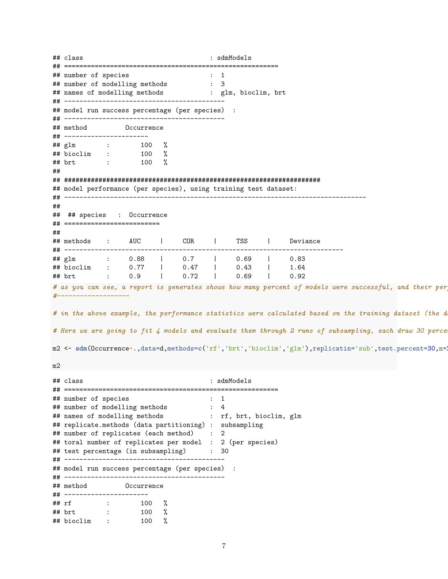## class : sdmModels ## ======================================================== ## number of species : 1<br>## number of modelling methods : 3 ## number of modelling methods ## names of modelling methods : glm, bioclim, brt ## ------------------------------------------ ## model run success percentage (per species) : ## ------------------------------------------ ## method Occurrence ## ---------------------- ## glm : 100 %  $\frac{3}{4}$  bioclim : 100 % ## brt : 100 % ## ## ################################################################### ## model performance (per species), using training test dataset: ## ------------------------------------------------------------------------------- ## ## ## species : Occurrence ## ========================= ## ## methods : AUC | COR | TSS | Deviance ## ------------------------------------------------------------------------- ## glm : 0.88 | 0.7 | 0.69 | 0.83 ## bioclim : 0.77 | 0.47 | 0.43 | 1.64 ## brt : 0.9 | 0.72 | 0.69 | 0.92 *# as you can see, a report is generates shows how many percent of models were successful, and their performance #-------------------* # in the above example, the performance statistics were calculated based on the training dataset (the d # Here we are going to fit 4 models and evaluate them through 2 runs of subsampling, each draw 30 perce m2 <- **sdm**(Occurrence**~**.,data=d,methods=**c**('rf','brt','bioclim','glm'),replicatin='sub',test.percent=30,n=2) m2 ## class : sdmModels ## ======================================================== ## number of species : 1 ## number of modelling methods : 4 ## names of modelling methods : rf, brt, bioclim, glm ## replicate.methods (data partitioning) : subsampling ## number of replicates (each method) : 2 ## toral number of replicates per model : 2 (per species) ## test percentage (in subsampling) : 30 ## ------------------------------------------ ## model run success percentage (per species) : ## ------------------------------------------ ## method Occurrence ## ---------------------- ## rf : 100 % ## brt : 100 % ## bioclim : 100 %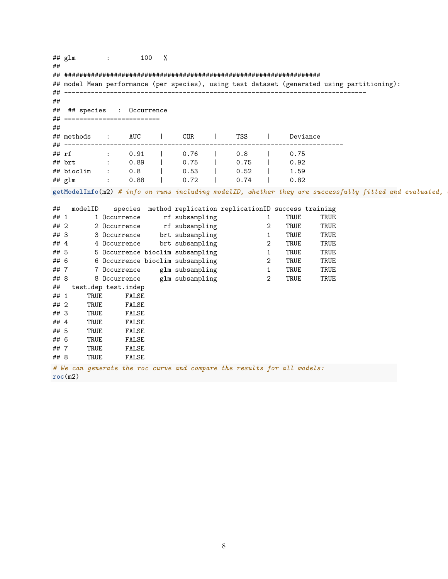| ##         | ## glm     |           | $\ddot{\phantom{a}}$ | 100                          | % |                                  |              |                |                                                                         |      |                                                                                                        |  |
|------------|------------|-----------|----------------------|------------------------------|---|----------------------------------|--------------|----------------|-------------------------------------------------------------------------|------|--------------------------------------------------------------------------------------------------------|--|
|            |            |           |                      |                              |   |                                  |              |                |                                                                         |      |                                                                                                        |  |
|            |            |           |                      |                              |   |                                  |              |                |                                                                         |      | ## model Mean performance (per species), using test dataset (generated using partitioning):            |  |
|            |            |           |                      |                              |   |                                  |              |                |                                                                         |      |                                                                                                        |  |
| ##         |            |           |                      |                              |   |                                  |              |                |                                                                         |      |                                                                                                        |  |
| ##         | ## species |           |                      | : Occurrence                 |   |                                  |              |                |                                                                         |      |                                                                                                        |  |
|            |            |           |                      | ## ========================= |   |                                  |              |                |                                                                         |      |                                                                                                        |  |
| ##         |            |           |                      |                              |   |                                  |              |                |                                                                         |      |                                                                                                        |  |
|            | ## methods |           | $\sim$ 100 $\sim$    | AUC                          |   | COR                              | <b>TSS</b>   |                | Deviance                                                                |      |                                                                                                        |  |
| ##         |            | --------- |                      |                              |   |                                  |              |                |                                                                         |      |                                                                                                        |  |
| ## rf      |            |           | $\ddot{\phantom{a}}$ | 0.91                         |   | 0.76                             | 0.8          |                | 0.75                                                                    |      |                                                                                                        |  |
|            | ## brt     |           | $\pm$                | 0.89                         |   | 0.75                             | 0.75         |                | 0.92                                                                    |      |                                                                                                        |  |
|            | ## bioclim |           |                      | 0.8<br>0.88                  |   | 0.53<br>0.72                     | 0.52<br>0.74 |                | 1.59<br>0.82                                                            |      |                                                                                                        |  |
|            | ## glm     |           | $\ddot{\phantom{a}}$ |                              |   |                                  |              |                |                                                                         |      |                                                                                                        |  |
|            |            |           |                      |                              |   |                                  |              |                |                                                                         |      | getModelInfo(m2) # info on runs including modelID, whether they are successfully fitted and evaluated, |  |
|            |            |           |                      |                              |   |                                  |              |                |                                                                         |      |                                                                                                        |  |
| ##<br>## 1 |            | modelID   |                      | 1 Occurrence                 |   | rf subsampling                   |              | 1              | species method replication replicationID success training<br>TRUE       | TRUE |                                                                                                        |  |
| ## 2       |            |           |                      | 2 Occurrence                 |   | rf subsampling                   |              | 2              | TRUE                                                                    | TRUE |                                                                                                        |  |
| ## 3       |            |           |                      | 3 Occurrence                 |   | brt subsampling                  |              | $\mathbf{1}$   | TRUE                                                                    | TRUE |                                                                                                        |  |
| ## 4       |            |           |                      | 4 Occurrence                 |   | brt subsampling                  |              | $\overline{2}$ | TRUE                                                                    | TRUE |                                                                                                        |  |
| ## 5       |            |           |                      |                              |   | 5 Occurrence bioclim subsampling |              | $\mathbf{1}$   | TRUE                                                                    | TRUE |                                                                                                        |  |
| ## 6       |            |           |                      |                              |   | 6 Occurrence bioclim subsampling |              | $\overline{2}$ | TRUE                                                                    | TRUE |                                                                                                        |  |
| ##7        |            |           |                      | 7 Occurrence                 |   | glm subsampling                  |              | $\mathbf{1}$   | TRUE                                                                    | TRUE |                                                                                                        |  |
| ## 8       |            |           |                      | 8 Occurrence                 |   | glm subsampling                  |              | $\overline{2}$ | TRUE                                                                    | TRUE |                                                                                                        |  |
| ##         |            |           |                      | test.dep test.indep          |   |                                  |              |                |                                                                         |      |                                                                                                        |  |
| ## 1       |            | TRUE      |                      | FALSE                        |   |                                  |              |                |                                                                         |      |                                                                                                        |  |
| ## 2       |            | TRUE      |                      | FALSE                        |   |                                  |              |                |                                                                         |      |                                                                                                        |  |
| ## 3       |            | TRUE      |                      | FALSE                        |   |                                  |              |                |                                                                         |      |                                                                                                        |  |
| ##4        |            | TRUE      |                      | FALSE                        |   |                                  |              |                |                                                                         |      |                                                                                                        |  |
| ## 5       |            | TRUE      |                      | FALSE                        |   |                                  |              |                |                                                                         |      |                                                                                                        |  |
| ## 6       |            | TRUE      |                      | FALSE                        |   |                                  |              |                |                                                                         |      |                                                                                                        |  |
| ##7        |            | TRUE      |                      | FALSE                        |   |                                  |              |                |                                                                         |      |                                                                                                        |  |
| ## 8       |            | TRUE      |                      | FALSE                        |   |                                  |              |                |                                                                         |      |                                                                                                        |  |
|            |            |           |                      |                              |   |                                  |              |                | # We can generate the roc curve and compare the results for all models: |      |                                                                                                        |  |
|            | roc(m2)    |           |                      |                              |   |                                  |              |                |                                                                         |      |                                                                                                        |  |

8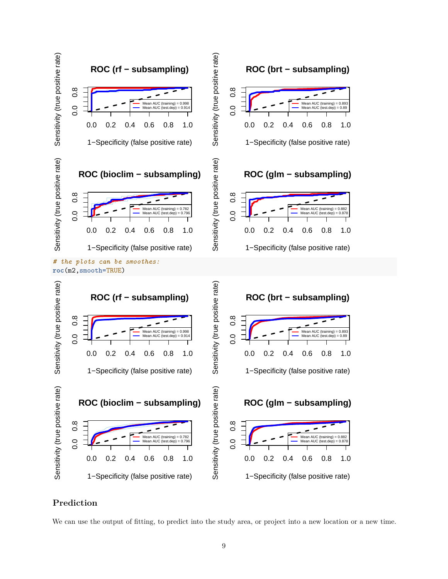

## **Prediction**

We can use the output of fitting, to predict into the study area, or project into a new location or a new time.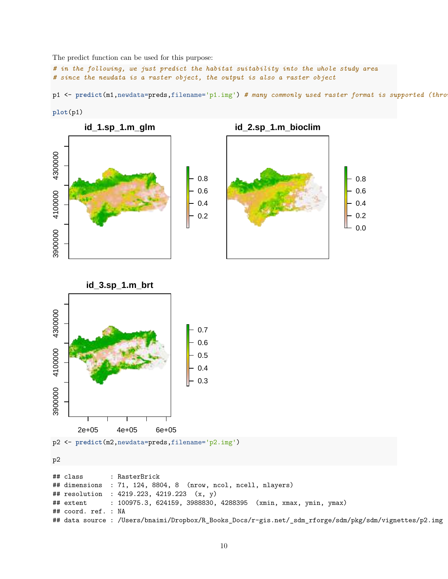The predict function can be used for this purpose:

*# in the following, we just predict the habitat suitability into the whole study area # since the newdata is a raster object, the output is also a raster object*

p1 <- **predict**(m1,newdata=preds,filename='p1.img') *# many commonly used raster format is supported (through*











p2 <- **predict**(m2,newdata=preds,filename='p2.img')

p2

```
## class : RasterBrick
## dimensions : 71, 124, 8804, 8 (nrow, ncol, ncell, nlayers)
## resolution : 4219.223, 4219.223 (x, y)
## extent : 100975.3, 624159, 3988830, 4288395 (xmin, xmax, ymin, ymax)
## coord. ref. : NA
## data source : /Users/bnaimi/Dropbox/R_Books_Docs/r-gis.net/_sdm_rforge/sdm/pkg/sdm/vignettes/p2.img
```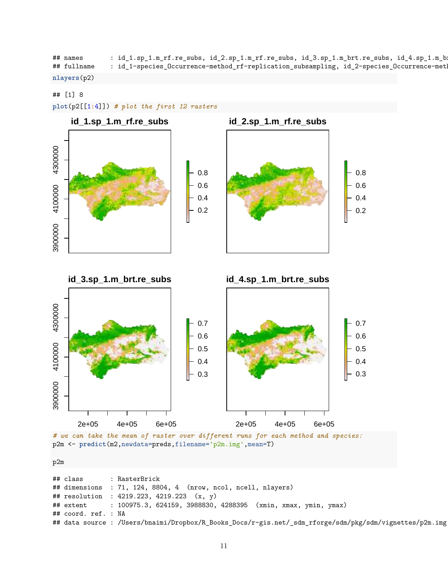| ## names    | : id_1.sp_1.m_rf.re_subs, id_2.sp_1.m_rf.re_subs, id_3.sp_1.m_brt.re_subs, id_4.sp_1.m_b=          |
|-------------|----------------------------------------------------------------------------------------------------|
| ## fullname | $^{\circ}$ id_1-species_Occurrence-method_rf-replication_subsampling, id_2-species_Occurrence-meth |

**nlayers**(p2)

#### ## [1] 8

**plot**(p2[[1**:**4]]) *# plot the first 12 rasters*







*# we can take the mean of raster over different runs for each method and species:* p2m <- **predict**(m2,newdata=preds,filename='p2m.img',mean=T)

p2m

|                     | ## class : RasterBrick                                                                                  |
|---------------------|---------------------------------------------------------------------------------------------------------|
|                     | ## dimensions : 71, 124, 8804, 4 (nrow, ncol, ncell, nlayers)                                           |
|                     | ## resolution : 4219.223, 4219.223 (x, y)                                                               |
|                     | ## extent : 100975.3, 624159, 3988830, 4288395 (xmin, xmax, ymin, ymax)                                 |
| ## coord. ref. : NA |                                                                                                         |
|                     | ## data source : /Users/bnaimi/Dropbox/R_Books_Docs/r-gis.net/_sdm_rforge/sdm/pkg/sdm/vignettes/p2m.img |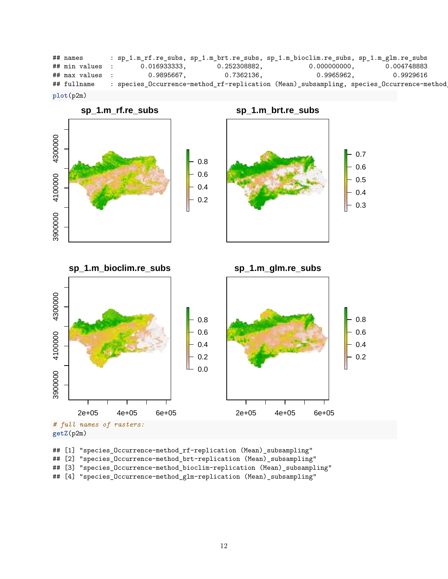```
## names : sp_1.m_rf.re_subs, sp_1.m_brt.re_subs, sp_1.m_bioclim.re_subs, sp_1.m_glm.re_subs
## min values : 0.016933333, 0.252308882, 0.000000000, 0.004748883
## max values : 0.9895667, 0.7362136, 0.9965962, 0.9929616
## fullname : species_Occurrence-method_rf-replication (Mean)_subsampling, species_Occurrence-method
plot(p2m)
```


## [1] "species\_Occurrence-method\_rf-replication (Mean)\_subsampling" ## [2] "species\_Occurrence-method\_brt-replication (Mean)\_subsampling" ## [3] "species\_Occurrence-method\_bioclim-replication (Mean)\_subsampling" ## [4] "species\_Occurrence-method\_glm-replication (Mean)\_subsampling"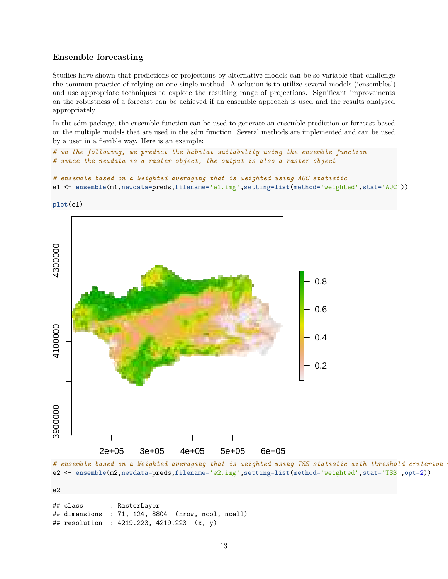#### **Ensemble forecasting**

Studies have shown that predictions or projections by alternative models can be so variable that challenge the common practice of relying on one single method. A solution is to utilize several models ('ensembles') and use appropriate techniques to explore the resulting range of projections. Significant improvements on the robustness of a forecast can be achieved if an ensemble approach is used and the results analysed appropriately.

In the sdm package, the ensemble function can be used to generate an ensemble prediction or forecast based on the multiple models that are used in the sdm function. Several methods are implemented and can be used by a user in a flexible way. Here is an example:

```
# in the following, we predict the habitat suitability using the ensemble function
# since the newdata is a raster object, the output is also a raster object
```

```
# ensemble based on a Weighted averaging that is weighted using AUC statistic
e1 <- ensemble(m1,newdata=preds,filename='e1.img',setting=list(method='weighted',stat='AUC'))
```
**plot**(e1)



# ensemble based on a Weighted averaging that is weighted using TSS statistic with threshold criterion e2 <- **ensemble**(m2,newdata=preds,filename='e2.img',setting=**list**(method='weighted',stat='TSS',opt=2))

e2

## class : RasterLayer ## dimensions : 71, 124, 8804 (nrow, ncol, ncell) ## resolution : 4219.223, 4219.223 (x, y)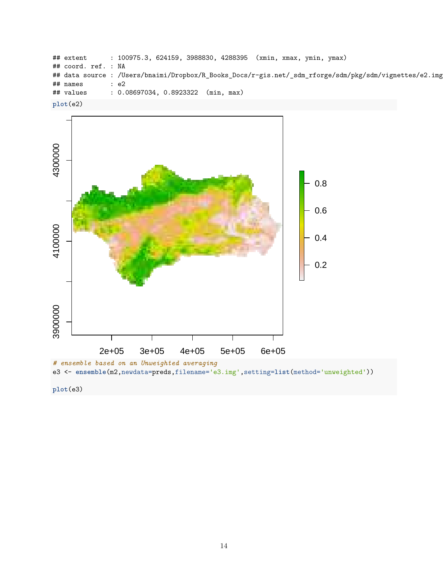```
## extent : 100975.3, 624159, 3988830, 4288395 (xmin, xmax, ymin, ymax)
## coord. ref. : NA
## data source : /Users/bnaimi/Dropbox/R_Books_Docs/r-gis.net/_sdm_rforge/sdm/pkg/sdm/vignettes/e2.img
## names : e2
## values : 0.08697034, 0.8923322 (min, max)
plot(e2)
```